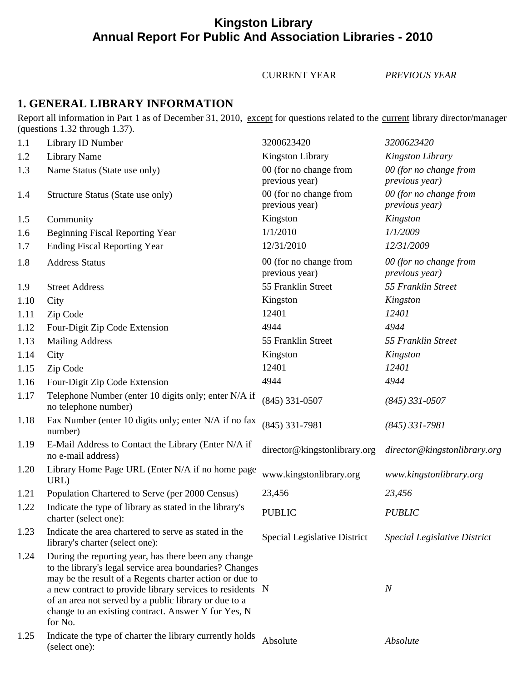# **Kingston Library Annual Report For Public And Association Libraries - 2010**

CURRENT YEAR *PREVIOUS YEAR*

### **1. GENERAL LIBRARY INFORMATION**

Report all information in Part 1 as of December 31, 2010, except for questions related to the current library director/manager (questions 1.32 through 1.37).

| 1.1  | Library ID Number                                                                                                                                                                                                                                                                                                                                                  | 3200623420                               | 3200623420                                       |
|------|--------------------------------------------------------------------------------------------------------------------------------------------------------------------------------------------------------------------------------------------------------------------------------------------------------------------------------------------------------------------|------------------------------------------|--------------------------------------------------|
| 1.2  | <b>Library Name</b>                                                                                                                                                                                                                                                                                                                                                | <b>Kingston Library</b>                  | Kingston Library                                 |
| 1.3  | Name Status (State use only)                                                                                                                                                                                                                                                                                                                                       | 00 (for no change from<br>previous year) | 00 (for no change from<br>previous year)         |
| 1.4  | Structure Status (State use only)                                                                                                                                                                                                                                                                                                                                  | 00 (for no change from<br>previous year) | 00 (for no change from<br><i>previous year</i> ) |
| 1.5  | Community                                                                                                                                                                                                                                                                                                                                                          | Kingston                                 | Kingston                                         |
| 1.6  | <b>Beginning Fiscal Reporting Year</b>                                                                                                                                                                                                                                                                                                                             | 1/1/2010                                 | 1/1/2009                                         |
| 1.7  | <b>Ending Fiscal Reporting Year</b>                                                                                                                                                                                                                                                                                                                                | 12/31/2010                               | 12/31/2009                                       |
| 1.8  | <b>Address Status</b>                                                                                                                                                                                                                                                                                                                                              | 00 (for no change from<br>previous year) | 00 (for no change from<br><i>previous year</i> ) |
| 1.9  | <b>Street Address</b>                                                                                                                                                                                                                                                                                                                                              | 55 Franklin Street                       | 55 Franklin Street                               |
| 1.10 | City                                                                                                                                                                                                                                                                                                                                                               | Kingston                                 | Kingston                                         |
| 1.11 | Zip Code                                                                                                                                                                                                                                                                                                                                                           | 12401                                    | 12401                                            |
| 1.12 | Four-Digit Zip Code Extension                                                                                                                                                                                                                                                                                                                                      | 4944                                     | 4944                                             |
| 1.13 | <b>Mailing Address</b>                                                                                                                                                                                                                                                                                                                                             | 55 Franklin Street                       | 55 Franklin Street                               |
| 1.14 | City                                                                                                                                                                                                                                                                                                                                                               | Kingston                                 | Kingston                                         |
| 1.15 | Zip Code                                                                                                                                                                                                                                                                                                                                                           | 12401                                    | 12401                                            |
| 1.16 | Four-Digit Zip Code Extension                                                                                                                                                                                                                                                                                                                                      | 4944                                     | 4944                                             |
| 1.17 | Telephone Number (enter 10 digits only; enter N/A if<br>no telephone number)                                                                                                                                                                                                                                                                                       | $(845)$ 331-0507                         | $(845)$ 331-0507                                 |
| 1.18 | Fax Number (enter 10 digits only; enter N/A if no fax<br>number)                                                                                                                                                                                                                                                                                                   | $(845)$ 331-7981                         | $(845)$ 331-7981                                 |
| 1.19 | E-Mail Address to Contact the Library (Enter N/A if<br>no e-mail address)                                                                                                                                                                                                                                                                                          | director@kingstonlibrary.org             | director@kingstonlibrary.org                     |
| 1.20 | Library Home Page URL (Enter N/A if no home page<br>URL)                                                                                                                                                                                                                                                                                                           | www.kingstonlibrary.org                  | www.kingstonlibrary.org                          |
| 1.21 | Population Chartered to Serve (per 2000 Census)                                                                                                                                                                                                                                                                                                                    | 23,456                                   | 23,456                                           |
| 1.22 | Indicate the type of library as stated in the library's<br>charter (select one):                                                                                                                                                                                                                                                                                   | <b>PUBLIC</b>                            | <b>PUBLIC</b>                                    |
| 1.23 | Indicate the area chartered to serve as stated in the<br>library's charter (select one):                                                                                                                                                                                                                                                                           | Special Legislative District             | Special Legislative District                     |
| 1.24 | During the reporting year, has there been any change<br>to the library's legal service area boundaries? Changes<br>may be the result of a Regents charter action or due to<br>a new contract to provide library services to residents N<br>of an area not served by a public library or due to a<br>change to an existing contract. Answer Y for Yes, N<br>for No. |                                          | $\boldsymbol{N}$                                 |
| 1.25 | Indicate the type of charter the library currently holds<br>(select one):                                                                                                                                                                                                                                                                                          | Absolute                                 | Absolute                                         |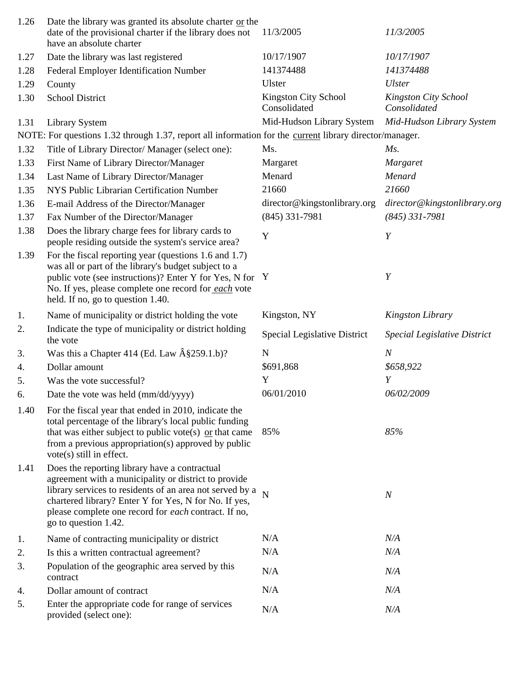| 1.26 | Date the library was granted its absolute charter or the<br>date of the provisional charter if the library does not<br>have an absolute charter                                                                                                                                                            | 11/3/2005                            | 11/3/2005                            |
|------|------------------------------------------------------------------------------------------------------------------------------------------------------------------------------------------------------------------------------------------------------------------------------------------------------------|--------------------------------------|--------------------------------------|
| 1.27 | Date the library was last registered                                                                                                                                                                                                                                                                       | 10/17/1907                           | 10/17/1907                           |
| 1.28 | Federal Employer Identification Number                                                                                                                                                                                                                                                                     | 141374488                            | 141374488                            |
| 1.29 | County                                                                                                                                                                                                                                                                                                     | Ulster                               | <b>Ulster</b>                        |
| 1.30 | <b>School District</b>                                                                                                                                                                                                                                                                                     | Kingston City School<br>Consolidated | Kingston City School<br>Consolidated |
| 1.31 | <b>Library System</b>                                                                                                                                                                                                                                                                                      | Mid-Hudson Library System            | Mid-Hudson Library System            |
|      | NOTE: For questions 1.32 through 1.37, report all information for the current library director/manager.                                                                                                                                                                                                    |                                      |                                      |
| 1.32 | Title of Library Director/ Manager (select one):                                                                                                                                                                                                                                                           | Ms.                                  | $Ms$ .                               |
| 1.33 | First Name of Library Director/Manager                                                                                                                                                                                                                                                                     | Margaret                             | Margaret                             |
| 1.34 | Last Name of Library Director/Manager                                                                                                                                                                                                                                                                      | Menard                               | Menard                               |
| 1.35 | NYS Public Librarian Certification Number                                                                                                                                                                                                                                                                  | 21660                                | 21660                                |
| 1.36 | E-mail Address of the Director/Manager                                                                                                                                                                                                                                                                     | director@kingstonlibrary.org         | director@kingstonlibrary.org         |
| 1.37 | Fax Number of the Director/Manager                                                                                                                                                                                                                                                                         | $(845)$ 331-7981                     | $(845)$ 331-7981                     |
| 1.38 | Does the library charge fees for library cards to<br>people residing outside the system's service area?                                                                                                                                                                                                    | Y                                    | Y                                    |
| 1.39 | For the fiscal reporting year (questions 1.6 and 1.7)<br>was all or part of the library's budget subject to a<br>public vote (see instructions)? Enter Y for Yes, N for<br>No. If yes, please complete one record for each vote<br>held. If no, go to question 1.40.                                       | $\mathbf{Y}$                         | $\boldsymbol{Y}$                     |
| 1.   | Name of municipality or district holding the vote                                                                                                                                                                                                                                                          | Kingston, NY                         | <b>Kingston Library</b>              |
| 2.   | Indicate the type of municipality or district holding<br>the vote                                                                                                                                                                                                                                          | <b>Special Legislative District</b>  | Special Legislative District         |
| 3.   | Was this a Chapter 414 (Ed. Law $\hat{A}$ §259.1.b)?                                                                                                                                                                                                                                                       | N                                    | $\boldsymbol{N}$                     |
| 4.   | Dollar amount                                                                                                                                                                                                                                                                                              | \$691,868                            | \$658,922                            |
| 5.   | Was the vote successful?                                                                                                                                                                                                                                                                                   | Y                                    | Y                                    |
| 6.   | Date the vote was held (mm/dd/yyyy)                                                                                                                                                                                                                                                                        | 06/01/2010                           | 06/02/2009                           |
| 1.40 | For the fiscal year that ended in 2010, indicate the<br>total percentage of the library's local public funding<br>that was either subject to public vote(s) $\alpha$ that came<br>from a previous appropriation(s) approved by public<br>vote(s) still in effect.                                          | 85%                                  | 85%                                  |
| 1.41 | Does the reporting library have a contractual<br>agreement with a municipality or district to provide<br>library services to residents of an area not served by a<br>chartered library? Enter Y for Yes, N for No. If yes,<br>please complete one record for each contract. If no,<br>go to question 1.42. | $\overline{N}$                       | $\boldsymbol{N}$                     |
| 1.   | Name of contracting municipality or district                                                                                                                                                                                                                                                               | N/A                                  | N/A                                  |
| 2.   | Is this a written contractual agreement?                                                                                                                                                                                                                                                                   | N/A                                  | N/A                                  |
| 3.   | Population of the geographic area served by this<br>contract                                                                                                                                                                                                                                               | N/A                                  | N/A                                  |
| 4.   | Dollar amount of contract                                                                                                                                                                                                                                                                                  | N/A                                  | N/A                                  |
| 5.   | Enter the appropriate code for range of services<br>provided (select one):                                                                                                                                                                                                                                 | N/A                                  | N/A                                  |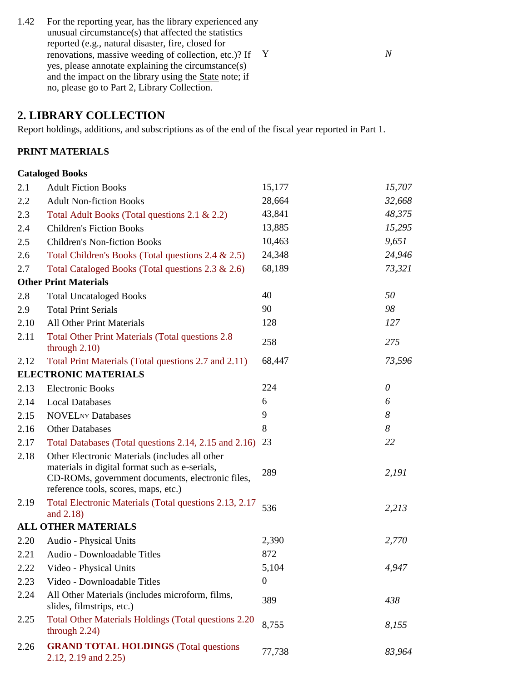1.42 For the reporting year, has the library experienced any unusual circumstance(s) that affected the statistics reported (e.g., natural disaster, fire, closed for renovations, massive weeding of collection, etc.)? If Y *N* yes, please annotate explaining the circumstance(s) and the impact on the library using the State note; if no, please go to Part 2, Library Collection.

## **2. LIBRARY COLLECTION**

Report holdings, additions, and subscriptions as of the end of the fiscal year reported in Part 1.

### **PRINT MATERIALS**

#### **Cataloged Books**

| 2.1  | <b>Adult Fiction Books</b>                                                                                                                                                                   | 15,177           | 15,707   |
|------|----------------------------------------------------------------------------------------------------------------------------------------------------------------------------------------------|------------------|----------|
| 2.2  | <b>Adult Non-fiction Books</b>                                                                                                                                                               | 28,664           | 32,668   |
| 2.3  | Total Adult Books (Total questions 2.1 & 2.2)                                                                                                                                                | 43,841           | 48,375   |
| 2.4  | <b>Children's Fiction Books</b>                                                                                                                                                              | 13,885           | 15,295   |
| 2.5  | <b>Children's Non-fiction Books</b>                                                                                                                                                          | 10,463           | 9,651    |
| 2.6  | Total Children's Books (Total questions 2.4 & 2.5)                                                                                                                                           | 24,348           | 24,946   |
| 2.7  | Total Cataloged Books (Total questions 2.3 & 2.6)                                                                                                                                            | 68,189           | 73,321   |
|      | <b>Other Print Materials</b>                                                                                                                                                                 |                  |          |
| 2.8  | <b>Total Uncataloged Books</b>                                                                                                                                                               | 40               | 50       |
| 2.9  | <b>Total Print Serials</b>                                                                                                                                                                   | 90               | 98       |
| 2.10 | <b>All Other Print Materials</b>                                                                                                                                                             | 128              | 127      |
| 2.11 | <b>Total Other Print Materials (Total questions 2.8)</b><br>through $2.10$ )                                                                                                                 | 258              | 275      |
| 2.12 | Total Print Materials (Total questions 2.7 and 2.11)                                                                                                                                         | 68,447           | 73,596   |
|      | <b>ELECTRONIC MATERIALS</b>                                                                                                                                                                  |                  |          |
| 2.13 | <b>Electronic Books</b>                                                                                                                                                                      | 224              | $\theta$ |
| 2.14 | <b>Local Databases</b>                                                                                                                                                                       | 6                | 6        |
| 2.15 | <b>NOVELNY Databases</b>                                                                                                                                                                     | 9                | 8        |
| 2.16 | <b>Other Databases</b>                                                                                                                                                                       | 8                | 8        |
| 2.17 | Total Databases (Total questions 2.14, 2.15 and 2.16) 23                                                                                                                                     |                  | 22       |
| 2.18 | Other Electronic Materials (includes all other<br>materials in digital format such as e-serials,<br>CD-ROMs, government documents, electronic files,<br>reference tools, scores, maps, etc.) | 289              | 2,191    |
| 2.19 | Total Electronic Materials (Total questions 2.13, 2.17<br>and 2.18)                                                                                                                          | 536              | 2,213    |
|      | <b>ALL OTHER MATERIALS</b>                                                                                                                                                                   |                  |          |
| 2.20 | Audio - Physical Units                                                                                                                                                                       | 2,390            | 2,770    |
| 2.21 | Audio - Downloadable Titles                                                                                                                                                                  | 872              |          |
| 2.22 | Video - Physical Units                                                                                                                                                                       | 5,104            | 4,947    |
| 2.23 | Video - Downloadable Titles                                                                                                                                                                  | $\boldsymbol{0}$ |          |
| 2.24 | All Other Materials (includes microform, films,<br>slides, filmstrips, etc.)                                                                                                                 | 389              | 438      |
| 2.25 | Total Other Materials Holdings (Total questions 2.20<br>through $2.24$ )                                                                                                                     | 8,755            | 8,155    |
| 2.26 | <b>GRAND TOTAL HOLDINGS</b> (Total questions<br>2.12, 2.19 and 2.25)                                                                                                                         | 77,738           | 83,964   |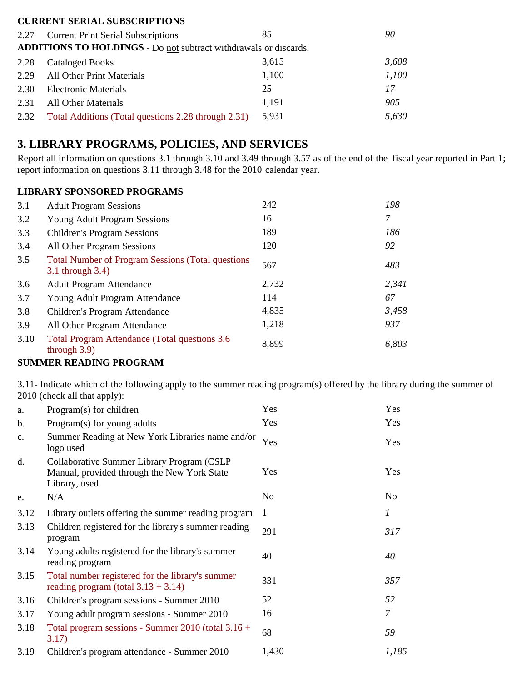#### **CURRENT SERIAL SUBSCRIPTIONS**

|      | 2.27 Current Print Serial Subscriptions                          | 85    | 90    |
|------|------------------------------------------------------------------|-------|-------|
|      | ADDITIONS TO HOLDINGS - Do not subtract withdrawals or discards. |       |       |
| 2.28 | <b>Cataloged Books</b>                                           | 3,615 | 3,608 |
| 2.29 | <b>All Other Print Materials</b>                                 | 1,100 | 1,100 |
| 2.30 | <b>Electronic Materials</b>                                      | 25    | 17    |
| 2.31 | <b>All Other Materials</b>                                       | 1,191 | 905   |
| 2.32 | Total Additions (Total questions 2.28 through 2.31)              | 5,931 | 5,630 |

## **3. LIBRARY PROGRAMS, POLICIES, AND SERVICES**

Report all information on questions 3.1 through 3.10 and 3.49 through 3.57 as of the end of the fiscal year reported in Part 1; report information on questions 3.11 through 3.48 for the 2010 calendar year.

### **LIBRARY SPONSORED PROGRAMS**

| 3.1  | <b>Adult Program Sessions</b>                                                 | 242   | 198   |
|------|-------------------------------------------------------------------------------|-------|-------|
| 3.2  | <b>Young Adult Program Sessions</b>                                           | 16    | 7     |
| 3.3  | <b>Children's Program Sessions</b>                                            | 189   | 186   |
| 3.4  | All Other Program Sessions                                                    | 120   | 92    |
| 3.5  | <b>Total Number of Program Sessions (Total questions)</b><br>3.1 through 3.4) | 567   | 483   |
| 3.6  | <b>Adult Program Attendance</b>                                               | 2,732 | 2,341 |
| 3.7  | Young Adult Program Attendance                                                | 114   | 67    |
| 3.8  | Children's Program Attendance                                                 | 4,835 | 3,458 |
| 3.9  | All Other Program Attendance                                                  | 1,218 | 937   |
| 3.10 | Total Program Attendance (Total questions 3.6)<br>through $3.9$ )             | 8,899 | 6,803 |

#### **SUMMER READING PROGRAM**

3.11- Indicate which of the following apply to the summer reading program(s) offered by the library during the summer of 2010 (check all that apply):

| a.   | Program(s) for children                                                                                    | Yes            | Yes            |
|------|------------------------------------------------------------------------------------------------------------|----------------|----------------|
| b.   | Program(s) for young adults                                                                                | Yes            | Yes            |
| c.   | Summer Reading at New York Libraries name and/or<br>logo used                                              | Yes            | Yes            |
| d.   | Collaborative Summer Library Program (CSLP<br>Manual, provided through the New York State<br>Library, used | Yes            | Yes            |
| e.   | N/A                                                                                                        | N <sub>o</sub> | N <sub>o</sub> |
| 3.12 | Library outlets offering the summer reading program                                                        | 1              | 1              |
| 3.13 | Children registered for the library's summer reading<br>program                                            | 291            | 317            |
| 3.14 | Young adults registered for the library's summer<br>reading program                                        | 40             | 40             |
| 3.15 | Total number registered for the library's summer<br>reading program (total $3.13 + 3.14$ )                 | 331            | 357            |
| 3.16 | Children's program sessions - Summer 2010                                                                  | 52             | 52             |
| 3.17 | Young adult program sessions - Summer 2010                                                                 | 16             | 7              |
| 3.18 | Total program sessions - Summer 2010 (total $3.16 +$<br>3.17)                                              | 68             | 59             |
| 3.19 | Children's program attendance - Summer 2010                                                                | 1,430          | 1,185          |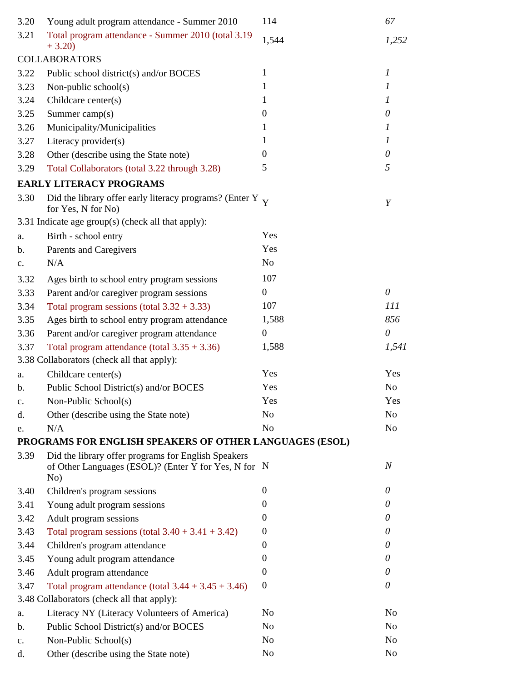| 3.20           | Young adult program attendance - Summer 2010                                                                       | 114              | 67               |
|----------------|--------------------------------------------------------------------------------------------------------------------|------------------|------------------|
| 3.21           | Total program attendance - Summer 2010 (total 3.19<br>$+3.20$                                                      | 1,544            | 1,252            |
|                | <b>COLLABORATORS</b>                                                                                               |                  |                  |
| 3.22           | Public school district(s) and/or BOCES                                                                             | 1                | $\mathfrak{1}$   |
| 3.23           | Non-public school $(s)$                                                                                            | 1                | 1                |
| 3.24           | Childcare center(s)                                                                                                | 1                | $\mathcal{I}$    |
| 3.25           | Summer camp $(s)$                                                                                                  | $\theta$         | 0                |
| 3.26           | Municipality/Municipalities                                                                                        | 1                | 1                |
| 3.27           | Literacy provider(s)                                                                                               | 1                | 1                |
| 3.28           | Other (describe using the State note)                                                                              | $\Omega$         | 0                |
| 3.29           | Total Collaborators (total 3.22 through 3.28)                                                                      | 5                | 5                |
|                | <b>EARLY LITERACY PROGRAMS</b>                                                                                     |                  |                  |
| 3.30           | Did the library offer early literacy programs? (Enter Y $\rm_V$<br>for Yes, N for No)                              |                  | Y                |
|                | 3.31 Indicate age group(s) (check all that apply):                                                                 |                  |                  |
| a.             | Birth - school entry                                                                                               | Yes              |                  |
| b.             | Parents and Caregivers                                                                                             | Yes              |                  |
| c.             | N/A                                                                                                                | N <sub>o</sub>   |                  |
| 3.32           | Ages birth to school entry program sessions                                                                        | 107              |                  |
| 3.33           | Parent and/or caregiver program sessions                                                                           | $\boldsymbol{0}$ | $\theta$         |
| 3.34           | Total program sessions (total $3.32 + 3.33$ )                                                                      | 107              | 111              |
| 3.35           | Ages birth to school entry program attendance                                                                      | 1,588            | 856              |
| 3.36           | Parent and/or caregiver program attendance                                                                         | $\boldsymbol{0}$ | $\theta$         |
| 3.37           | Total program attendance (total $3.35 + 3.36$ )                                                                    | 1,588            | 1,541            |
|                | 3.38 Collaborators (check all that apply):                                                                         |                  |                  |
| a.             | Childcare center(s)                                                                                                | Yes              | Yes              |
| b.             | Public School District(s) and/or BOCES                                                                             | Yes              | No               |
| c.             | Non-Public School(s)                                                                                               | Yes              | Yes              |
| d.             | Other (describe using the State note)                                                                              | N <sub>o</sub>   | No               |
| e.             | N/A                                                                                                                | N <sub>o</sub>   | N <sub>o</sub>   |
|                | PROGRAMS FOR ENGLISH SPEAKERS OF OTHER LANGUAGES (ESOL)                                                            |                  |                  |
| 3.39           | Did the library offer programs for English Speakers<br>of Other Languages (ESOL)? (Enter Y for Yes, N for N<br>No) |                  | $\boldsymbol{N}$ |
| 3.40           | Children's program sessions                                                                                        | $\theta$         | 0                |
| 3.41           | Young adult program sessions                                                                                       | $\Omega$         | 0                |
| 3.42           | Adult program sessions                                                                                             | $\Omega$         | 0                |
| 3.43           | Total program sessions (total $3.40 + 3.41 + 3.42$ )                                                               | $\Omega$         | 0                |
| 3.44           | Children's program attendance                                                                                      | $\Omega$         | 0                |
| 3.45           | Young adult program attendance                                                                                     | $\overline{0}$   | 0                |
| 3.46           | Adult program attendance                                                                                           | $\Omega$         | 0                |
| 3.47           | Total program attendance (total $3.44 + 3.45 + 3.46$ )                                                             | $\boldsymbol{0}$ | 0                |
|                | 3.48 Collaborators (check all that apply):                                                                         |                  |                  |
| a.             | Literacy NY (Literacy Volunteers of America)                                                                       | No               | No               |
| b.             | Public School District(s) and/or BOCES                                                                             | N <sub>o</sub>   | N <sub>o</sub>   |
| $\mathbf{c}$ . | Non-Public School(s)                                                                                               | N <sub>o</sub>   | N <sub>o</sub>   |
| d.             | Other (describe using the State note)                                                                              | No               | No               |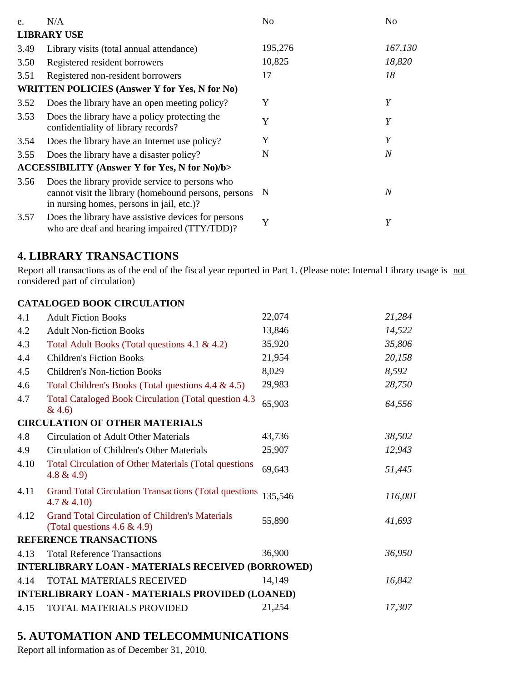| e.   | N/A                                                                                                                                                  | N <sub>o</sub> | N <sub>0</sub> |
|------|------------------------------------------------------------------------------------------------------------------------------------------------------|----------------|----------------|
|      | <b>LIBRARY USE</b>                                                                                                                                   |                |                |
| 3.49 | Library visits (total annual attendance)                                                                                                             | 195,276        | 167,130        |
| 3.50 | Registered resident borrowers                                                                                                                        | 10,825         | 18,820         |
| 3.51 | Registered non-resident borrowers                                                                                                                    | 17             | 18             |
|      | <b>WRITTEN POLICIES (Answer Y for Yes, N for No)</b>                                                                                                 |                |                |
| 3.52 | Does the library have an open meeting policy?                                                                                                        | Y              | Y              |
| 3.53 | Does the library have a policy protecting the<br>confidentiality of library records?                                                                 | Y              | Y              |
| 3.54 | Does the library have an Internet use policy?                                                                                                        | Y              | Y              |
| 3.55 | Does the library have a disaster policy?                                                                                                             | N              | $\overline{N}$ |
|      | <b>ACCESSIBILITY (Answer Y for Yes, N for No)/b&gt;</b>                                                                                              |                |                |
| 3.56 | Does the library provide service to persons who<br>cannot visit the library (homebound persons, persons<br>in nursing homes, persons in jail, etc.)? | N              | $\overline{N}$ |
| 3.57 | Does the library have assistive devices for persons<br>who are deaf and hearing impaired (TTY/TDD)?                                                  | Y              | Y              |

## **4. LIBRARY TRANSACTIONS**

Report all transactions as of the end of the fiscal year reported in Part 1. (Please note: Internal Library usage is not considered part of circulation)

#### **CATALOGED BOOK CIRCULATION**

| 4.1  | <b>Adult Fiction Books</b>                                                                | 22,074  | 21,284  |
|------|-------------------------------------------------------------------------------------------|---------|---------|
| 4.2  | <b>Adult Non-fiction Books</b>                                                            | 13,846  | 14,522  |
| 4.3  | Total Adult Books (Total questions 4.1 & 4.2)                                             | 35,920  | 35,806  |
| 4.4  | <b>Children's Fiction Books</b>                                                           | 21,954  | 20,158  |
| 4.5  | <b>Children's Non-fiction Books</b>                                                       | 8,029   | 8,592   |
| 4.6  | Total Children's Books (Total questions 4.4 & 4.5)                                        | 29,983  | 28,750  |
| 4.7  | Total Cataloged Book Circulation (Total question 4.3)<br>& 4.6)                           | 65,903  | 64,556  |
|      | <b>CIRCULATION OF OTHER MATERIALS</b>                                                     |         |         |
| 4.8  | <b>Circulation of Adult Other Materials</b>                                               | 43,736  | 38,502  |
| 4.9  | Circulation of Children's Other Materials                                                 | 25,907  | 12,943  |
| 4.10 | <b>Total Circulation of Other Materials (Total questions</b><br>$4.8 \& 4.9$              | 69,643  | 51,445  |
| 4.11 | <b>Grand Total Circulation Transactions (Total questions</b><br>$4.7 \& 4.10$             | 135,546 | 116,001 |
| 4.12 | <b>Grand Total Circulation of Children's Materials</b><br>(Total questions $4.6 \& 4.9$ ) | 55,890  | 41,693  |
|      | REFERENCE TRANSACTIONS                                                                    |         |         |
| 4.13 | <b>Total Reference Transactions</b>                                                       | 36,900  | 36,950  |
|      | <b>INTERLIBRARY LOAN - MATERIALS RECEIVED (BORROWED)</b>                                  |         |         |
| 4.14 | <b>TOTAL MATERIALS RECEIVED</b>                                                           | 14,149  | 16,842  |
|      | <b>INTERLIBRARY LOAN - MATERIALS PROVIDED (LOANED)</b>                                    |         |         |
| 4.15 | TOTAL MATERIALS PROVIDED                                                                  | 21,254  | 17,307  |
|      |                                                                                           |         |         |

# **5. AUTOMATION AND TELECOMMUNICATIONS**

Report all information as of December 31, 2010.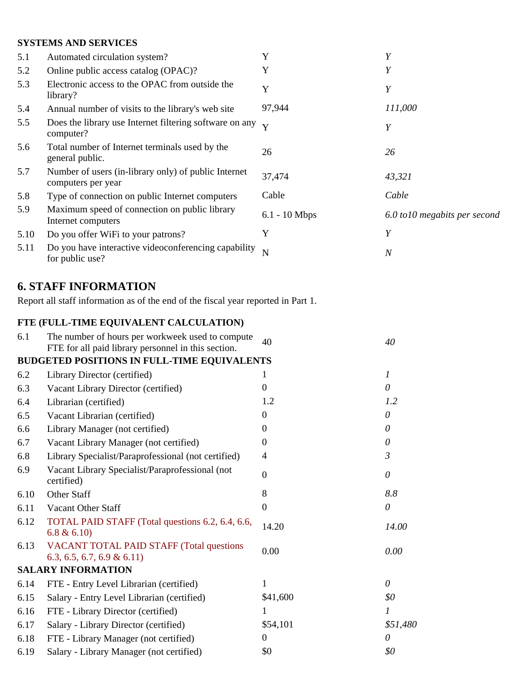#### **SYSTEMS AND SERVICES**

| 5.1  | Automated circulation system?                                              | Y               | Y                             |
|------|----------------------------------------------------------------------------|-----------------|-------------------------------|
| 5.2  | Online public access catalog (OPAC)?                                       | Y               | Y                             |
| 5.3  | Electronic access to the OPAC from outside the<br>library?                 | Y               | Y                             |
| 5.4  | Annual number of visits to the library's web site                          | 97,944          | 111,000                       |
| 5.5  | Does the library use Internet filtering software on any<br>computer?       | Y               | Y                             |
| 5.6  | Total number of Internet terminals used by the<br>general public.          | 26              | 26                            |
| 5.7  | Number of users (in-library only) of public Internet<br>computers per year | 37,474          | 43,321                        |
| 5.8  | Type of connection on public Internet computers                            | Cable           | Cable                         |
| 5.9  | Maximum speed of connection on public library<br>Internet computers        | $6.1 - 10$ Mbps | 6.0 to 10 megabits per second |
| 5.10 | Do you offer WiFi to your patrons?                                         | Y               | Y                             |
| 5.11 | Do you have interactive videoconferencing capability<br>for public use?    | N               | $\overline{N}$                |

# **6. STAFF INFORMATION**

Report all staff information as of the end of the fiscal year reported in Part 1.

### **FTE (FULL-TIME EQUIVALENT CALCULATION)**

| The number of hours per workweek used to compute<br>FTE for all paid library personnel in this section. | 40               | 40                                          |
|---------------------------------------------------------------------------------------------------------|------------------|---------------------------------------------|
|                                                                                                         |                  |                                             |
| Library Director (certified)                                                                            | 1                | $\boldsymbol{l}$                            |
| Vacant Library Director (certified)                                                                     | $\theta$         | $\theta$                                    |
| Librarian (certified)                                                                                   | 1.2              | 1.2                                         |
| Vacant Librarian (certified)                                                                            | $\theta$         | $\theta$                                    |
| Library Manager (not certified)                                                                         | $\theta$         | $\theta$                                    |
| Vacant Library Manager (not certified)                                                                  | $\theta$         | $\theta$                                    |
| Library Specialist/Paraprofessional (not certified)                                                     | $\overline{4}$   | $\mathfrak{Z}$                              |
| Vacant Library Specialist/Paraprofessional (not<br>certified)                                           | $\overline{0}$   | $\theta$                                    |
| Other Staff                                                                                             | 8                | 8.8                                         |
| Vacant Other Staff                                                                                      | $\boldsymbol{0}$ | $\theta$                                    |
| TOTAL PAID STAFF (Total questions 6.2, 6.4, 6.6,<br>6.8 & 6.10                                          | 14.20            | 14.00                                       |
| <b>VACANT TOTAL PAID STAFF (Total questions</b><br>$6.3, 6.5, 6.7, 6.9 \& 6.11$                         | 0.00             | 0.00                                        |
| <b>SALARY INFORMATION</b>                                                                               |                  |                                             |
| FTE - Entry Level Librarian (certified)                                                                 | 1                | $\theta$                                    |
| Salary - Entry Level Librarian (certified)                                                              | \$41,600         | \$0                                         |
| FTE - Library Director (certified)                                                                      | 1                | 1                                           |
| Salary - Library Director (certified)                                                                   | \$54,101         | \$51,480                                    |
| FTE - Library Manager (not certified)                                                                   | $\mathbf{0}$     | 0                                           |
| Salary - Library Manager (not certified)                                                                | \$0              | \$0                                         |
|                                                                                                         |                  | BUDGETED POSITIONS IN FULL-TIME EQUIVALENTS |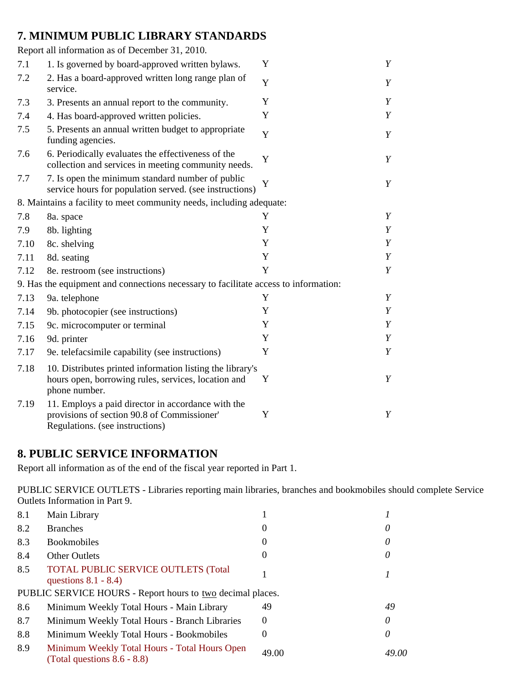## **7. MINIMUM PUBLIC LIBRARY STANDARDS**

|      | Report all information as of December 31, 2010.                                                                                      |   |   |
|------|--------------------------------------------------------------------------------------------------------------------------------------|---|---|
| 7.1  | 1. Is governed by board-approved written bylaws.                                                                                     | Y | Y |
| 7.2  | 2. Has a board-approved written long range plan of<br>service.                                                                       | Y | Y |
| 7.3  | 3. Presents an annual report to the community.                                                                                       | Y | Y |
| 7.4  | 4. Has board-approved written policies.                                                                                              | Y | Y |
| 7.5  | 5. Presents an annual written budget to appropriate<br>funding agencies.                                                             | Y | Y |
| 7.6  | 6. Periodically evaluates the effectiveness of the<br>collection and services in meeting community needs.                            | Y | Y |
| 7.7  | 7. Is open the minimum standard number of public<br>service hours for population served. (see instructions)                          | Y | Y |
|      | 8. Maintains a facility to meet community needs, including adequate:                                                                 |   |   |
| 7.8  | 8a. space                                                                                                                            | Y | Y |
| 7.9  | 8b. lighting                                                                                                                         | Y | Y |
| 7.10 | 8c. shelving                                                                                                                         | Y | Y |
| 7.11 | 8d. seating                                                                                                                          | Y | Y |
| 7.12 | 8e. restroom (see instructions)                                                                                                      | Y | Y |
|      | 9. Has the equipment and connections necessary to facilitate access to information:                                                  |   |   |
| 7.13 | 9a. telephone                                                                                                                        | Y | Y |
| 7.14 | 9b. photocopier (see instructions)                                                                                                   | Y | Y |
| 7.15 | 9c. microcomputer or terminal                                                                                                        | Y | Y |
| 7.16 | 9d. printer                                                                                                                          | Y | Y |
| 7.17 | 9e. telefacsimile capability (see instructions)                                                                                      | Y | Y |
| 7.18 | 10. Distributes printed information listing the library's<br>hours open, borrowing rules, services, location and<br>phone number.    | Y | Y |
| 7.19 | 11. Employs a paid director in accordance with the<br>provisions of section 90.8 of Commissioner'<br>Regulations. (see instructions) | Y | Y |

### **8. PUBLIC SERVICE INFORMATION**

Report all information as of the end of the fiscal year reported in Part 1.

PUBLIC SERVICE OUTLETS - Libraries reporting main libraries, branches and bookmobiles should complete Service Outlets Information in Part 9.

| 8.1 | Main Library                                                                    |          |       |
|-----|---------------------------------------------------------------------------------|----------|-------|
| 8.2 | <b>Branches</b>                                                                 |          |       |
| 8.3 | <b>Bookmobiles</b>                                                              | $\theta$ |       |
| 8.4 | <b>Other Outlets</b>                                                            | $\theta$ |       |
| 8.5 | <b>TOTAL PUBLIC SERVICE OUTLETS (Total</b><br>questions $8.1 - 8.4$ )           |          |       |
|     | PUBLIC SERVICE HOURS - Report hours to two decimal places.                      |          |       |
| 8.6 | Minimum Weekly Total Hours - Main Library                                       | 49       | 49    |
| 8.7 | Minimum Weekly Total Hours - Branch Libraries                                   | $\theta$ | 0     |
| 8.8 | Minimum Weekly Total Hours - Bookmobiles                                        | $\theta$ |       |
| 8.9 | Minimum Weekly Total Hours - Total Hours Open<br>(Total questions $8.6 - 8.8$ ) | 49.00    | 49.00 |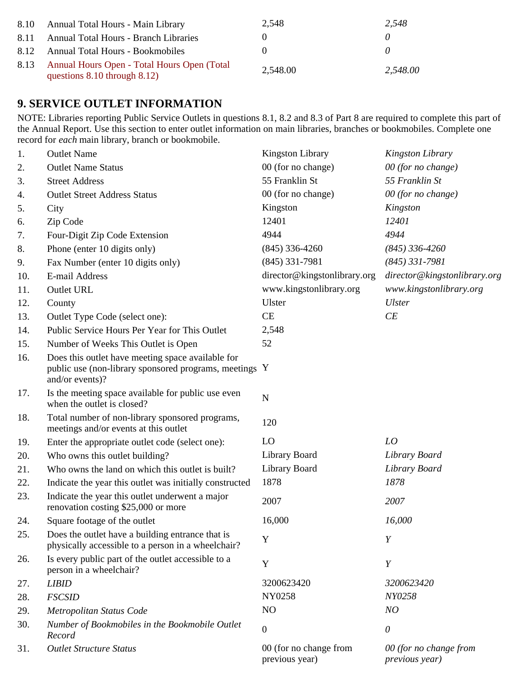| 8.10 | Annual Total Hours - Main Library                                                | 2.548    | 2.548    |
|------|----------------------------------------------------------------------------------|----------|----------|
| 8.11 | <b>Annual Total Hours - Branch Libraries</b>                                     |          |          |
| 8.12 | Annual Total Hours - Bookmobiles                                                 |          |          |
| 8.13 | Annual Hours Open - Total Hours Open (Total<br>questions $8.10$ through $8.12$ ) | 2,548.00 | 2,548.00 |

## **9. SERVICE OUTLET INFORMATION**

NOTE: Libraries reporting Public Service Outlets in questions 8.1, 8.2 and 8.3 of Part 8 are required to complete this part of the Annual Report. Use this section to enter outlet information on main libraries, branches or bookmobiles. Complete one record for *each* main library, branch or bookmobile.

| 1.  | <b>Outlet Name</b>                                                                                                             | <b>Kingston Library</b>                  | <b>Kingston Library</b>                  |
|-----|--------------------------------------------------------------------------------------------------------------------------------|------------------------------------------|------------------------------------------|
| 2.  | <b>Outlet Name Status</b>                                                                                                      | 00 (for no change)                       | 00 (for no change)                       |
| 3.  | <b>Street Address</b>                                                                                                          | 55 Franklin St                           | 55 Franklin St                           |
| 4.  | <b>Outlet Street Address Status</b>                                                                                            | 00 (for no change)                       | 00 (for no change)                       |
| 5.  | City                                                                                                                           | Kingston                                 | Kingston                                 |
| 6.  | Zip Code                                                                                                                       | 12401                                    | 12401                                    |
| 7.  | Four-Digit Zip Code Extension                                                                                                  | 4944                                     | 4944                                     |
| 8.  | Phone (enter 10 digits only)                                                                                                   | $(845)$ 336-4260                         | $(845)$ 336-4260                         |
| 9.  | Fax Number (enter 10 digits only)                                                                                              | $(845)$ 331-7981                         | $(845)$ 331-7981                         |
| 10. | E-mail Address                                                                                                                 | director@kingstonlibrary.org             | director@kingstonlibrary.org             |
| 11. | <b>Outlet URL</b>                                                                                                              | www.kingstonlibrary.org                  | www.kingstonlibrary.org                  |
| 12. | County                                                                                                                         | Ulster                                   | <b>Ulster</b>                            |
| 13. | Outlet Type Code (select one):                                                                                                 | CE                                       | CE                                       |
| 14. | Public Service Hours Per Year for This Outlet                                                                                  | 2,548                                    |                                          |
| 15. | Number of Weeks This Outlet is Open                                                                                            | 52                                       |                                          |
| 16. | Does this outlet have meeting space available for<br>public use (non-library sponsored programs, meetings Y<br>and/or events)? |                                          |                                          |
| 17. | Is the meeting space available for public use even<br>when the outlet is closed?                                               | ${\bf N}$                                |                                          |
| 18. | Total number of non-library sponsored programs,<br>meetings and/or events at this outlet                                       | 120                                      |                                          |
| 19. | Enter the appropriate outlet code (select one):                                                                                | LO                                       | LO                                       |
| 20. | Who owns this outlet building?                                                                                                 | Library Board                            | Library Board                            |
| 21. | Who owns the land on which this outlet is built?                                                                               | Library Board                            | Library Board                            |
| 22. | Indicate the year this outlet was initially constructed                                                                        | 1878                                     | 1878                                     |
| 23. | Indicate the year this outlet underwent a major<br>renovation costing \$25,000 or more                                         | 2007                                     | 2007                                     |
| 24. | Square footage of the outlet                                                                                                   | 16,000                                   | 16,000                                   |
| 25. | Does the outlet have a building entrance that is<br>physically accessible to a person in a wheelchair?                         | Y                                        | Y                                        |
| 26. | Is every public part of the outlet accessible to a<br>person in a wheelchair?                                                  | Y                                        | Y                                        |
| 27. | <b>LIBID</b>                                                                                                                   | 3200623420                               | 3200623420                               |
| 28. | <b>FSCSID</b>                                                                                                                  | NY0258                                   | NY0258                                   |
| 29. | Metropolitan Status Code                                                                                                       | N <sub>O</sub>                           | NO                                       |
| 30. | Number of Bookmobiles in the Bookmobile Outlet<br>Record                                                                       | $\boldsymbol{0}$                         | $\theta$                                 |
| 31. | <b>Outlet Structure Status</b>                                                                                                 | 00 (for no change from<br>previous year) | 00 (for no change from<br>previous year) |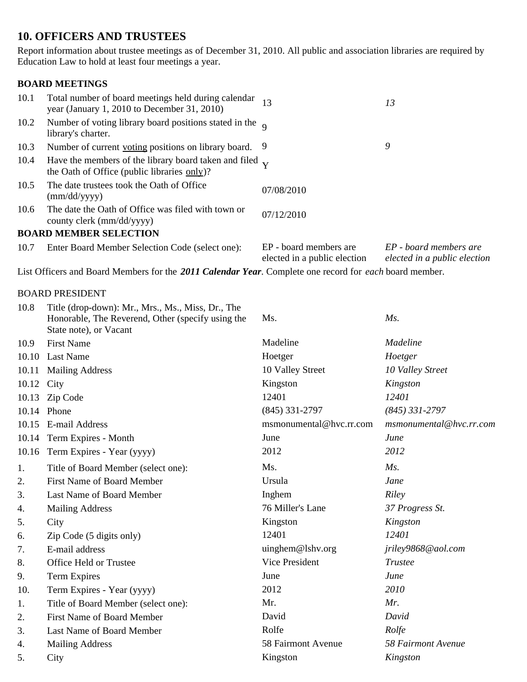## **10. OFFICERS AND TRUSTEES**

Report information about trustee meetings as of December 31, 2010. All public and association libraries are required by Education Law to hold at least four meetings a year.

#### **BOARD MEETINGS**

| 10.1 | Total number of board meetings held during calendar<br>year (January 1, 2010 to December 31, 2010)            | 13                                                     | 13                                                     |
|------|---------------------------------------------------------------------------------------------------------------|--------------------------------------------------------|--------------------------------------------------------|
| 10.2 | Number of voting library board positions stated in the $\alpha$<br>library's charter.                         |                                                        |                                                        |
| 10.3 | Number of current voting positions on library board. 9                                                        |                                                        | 9                                                      |
| 10.4 | Have the members of the library board taken and filed $\bf{v}$<br>the Oath of Office (public libraries only)? |                                                        |                                                        |
| 10.5 | The date trustees took the Oath of Office<br>$\text{(mm/dd/yyyy)}$                                            | 07/08/2010                                             |                                                        |
| 10.6 | The date the Oath of Office was filed with town or<br>county clerk (mm/dd/yyyy)                               | 07/12/2010                                             |                                                        |
|      | <b>BOARD MEMBER SELECTION</b>                                                                                 |                                                        |                                                        |
| 10.7 | Enter Board Member Selection Code (select one):                                                               | EP - board members are<br>elected in a public election | EP - board members are<br>elected in a public election |

List Officers and Board Members for the *2011 Calendar Year*. Complete one record for *each* board member.

#### BOARD PRESIDENT

| 10.8  | Title (drop-down): Mr., Mrs., Ms., Miss, Dr., The<br>Honorable, The Reverend, Other (specify using the<br>State note), or Vacant | Ms.                     | $Ms$ .                  |
|-------|----------------------------------------------------------------------------------------------------------------------------------|-------------------------|-------------------------|
| 10.9  | <b>First Name</b>                                                                                                                | Madeline                | <i>Madeline</i>         |
| 10.10 | <b>Last Name</b>                                                                                                                 | Hoetger                 | Hoetger                 |
| 10.11 | <b>Mailing Address</b>                                                                                                           | 10 Valley Street        | 10 Valley Street        |
| 10.12 | City                                                                                                                             | Kingston                | Kingston                |
| 10.13 | Zip Code                                                                                                                         | 12401                   | 12401                   |
|       | 10.14 Phone                                                                                                                      | $(845)$ 331-2797        | $(845)$ 331-2797        |
| 10.15 | E-mail Address                                                                                                                   | msmonumental@hvc.rr.com | msmonumental@hvc.rr.com |
| 10.14 | Term Expires - Month                                                                                                             | June                    | June                    |
| 10.16 | Term Expires - Year (yyyy)                                                                                                       | 2012                    | 2012                    |
| 1.    | Title of Board Member (select one):                                                                                              | Ms.                     | $M_s$ .                 |
| 2.    | <b>First Name of Board Member</b>                                                                                                | Ursula                  | Jane                    |
| 3.    | Last Name of Board Member                                                                                                        | Inghem                  | <b>Riley</b>            |
| 4.    | <b>Mailing Address</b>                                                                                                           | 76 Miller's Lane        | 37 Progress St.         |
| 5.    | City                                                                                                                             | Kingston                | Kingston                |
| 6.    | Zip Code (5 digits only)                                                                                                         | 12401                   | 12401                   |
| 7.    | E-mail address                                                                                                                   | uinghem@lshv.org        | jriley9868@aol.com      |
| 8.    | Office Held or Trustee                                                                                                           | Vice President          | <b>Trustee</b>          |
| 9.    | <b>Term Expires</b>                                                                                                              | June                    | June                    |
| 10.   | Term Expires - Year (yyyy)                                                                                                       | 2012                    | 2010                    |
| 1.    | Title of Board Member (select one):                                                                                              | Mr.                     | Mr.                     |
| 2.    | <b>First Name of Board Member</b>                                                                                                | David                   | David                   |
| 3.    | Last Name of Board Member                                                                                                        | Rolfe                   | Rolfe                   |
| 4.    | <b>Mailing Address</b>                                                                                                           | 58 Fairmont Avenue      | 58 Fairmont Avenue      |
| 5.    | City                                                                                                                             | Kingston                | Kingston                |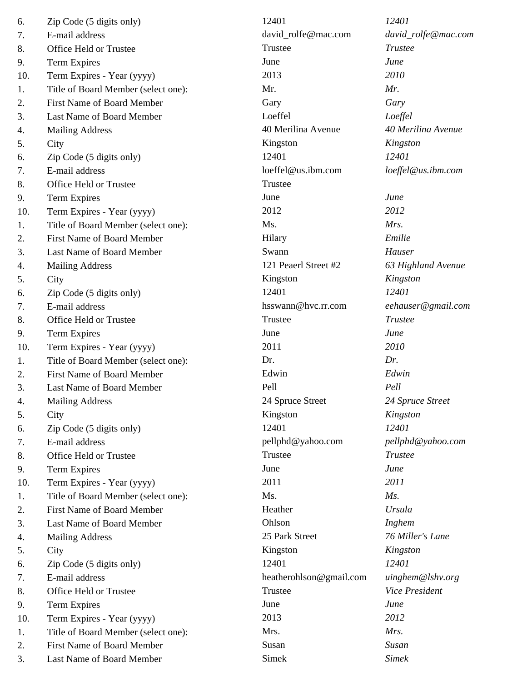| 6.  | Zip Code (5 digits only)            | 12401                   | 12401                 |
|-----|-------------------------------------|-------------------------|-----------------------|
| 7.  | E-mail address                      | david_rolfe@mac.com     | david_rolfe@mac.com   |
| 8.  | Office Held or Trustee              | Trustee                 | <b>Trustee</b>        |
| 9.  | Term Expires                        | June                    | June                  |
| 10. | Term Expires - Year (yyyy)          | 2013                    | 2010                  |
| 1.  | Title of Board Member (select one): | Mr.                     | Mr.                   |
| 2.  | <b>First Name of Board Member</b>   | Gary                    | Gary                  |
| 3.  | Last Name of Board Member           | Loeffel                 | Loeffel               |
| 4.  | <b>Mailing Address</b>              | 40 Merilina Avenue      | 40 Merilina Avenue    |
| 5.  | City                                | Kingston                | Kingston              |
| 6.  | Zip Code (5 digits only)            | 12401                   | 12401                 |
| 7.  | E-mail address                      | loeffel@us.ibm.com      | loeffel@us.ibm.com    |
| 8.  | Office Held or Trustee              | Trustee                 |                       |
| 9.  | <b>Term Expires</b>                 | June                    | June                  |
| 10. | Term Expires - Year (yyyy)          | 2012                    | 2012                  |
| 1.  | Title of Board Member (select one): | Ms.                     | Mrs.                  |
| 2.  | <b>First Name of Board Member</b>   | Hilary                  | Emilie                |
| 3.  | Last Name of Board Member           | Swann                   | Hauser                |
| 4.  | <b>Mailing Address</b>              | 121 Peaerl Street #2    | 63 Highland Avenue    |
| 5.  | City                                | Kingston                | Kingston              |
| 6.  | Zip Code (5 digits only)            | 12401                   | 12401                 |
| 7.  | E-mail address                      | hsswann@hvc.rr.com      | eehauser@gmail.com    |
| 8.  | Office Held or Trustee              | Trustee                 | <b>Trustee</b>        |
| 9.  | Term Expires                        | June                    | June                  |
| 10. | Term Expires - Year (yyyy)          | 2011                    | 2010                  |
| 1.  | Title of Board Member (select one): | Dr.                     | Dr.                   |
| 2.  | First Name of Board Member          | Edwin                   | Edwin                 |
| 3.  | Last Name of Board Member           | Pell                    | Pell                  |
| 4.  | <b>Mailing Address</b>              | 24 Spruce Street        | 24 Spruce Street      |
| 5.  | City                                | Kingston                | Kingston              |
| 6.  | Zip Code (5 digits only)            | 12401                   | 12401                 |
| 7.  | E-mail address                      | pellphd@yahoo.com       | pellphd@yahoo.com     |
| 8.  | Office Held or Trustee              | Trustee                 | <b>Trustee</b>        |
| 9.  | <b>Term Expires</b>                 | June                    | June                  |
| 10. | Term Expires - Year (yyyy)          | 2011                    | 2011                  |
| 1.  | Title of Board Member (select one): | Ms.                     | Ms.                   |
| 2.  | First Name of Board Member          | Heather                 | <b>Ursula</b>         |
| 3.  | Last Name of Board Member           | Ohlson                  | Inghem                |
| 4.  | <b>Mailing Address</b>              | 25 Park Street          | 76 Miller's Lane      |
| 5.  | City                                | Kingston                | Kingston              |
| 6.  | Zip Code (5 digits only)            | 12401                   | 12401                 |
| 7.  | E-mail address                      | heatherohlson@gmail.com | uinghem@lshv.org      |
| 8.  | Office Held or Trustee              | Trustee                 | <b>Vice President</b> |
| 9.  | Term Expires                        | June                    | June                  |
| 10. | Term Expires - Year (yyyy)          | 2013                    | 2012                  |
| 1.  | Title of Board Member (select one): | Mrs.                    | Mrs.                  |
| 2.  | First Name of Board Member          | Susan                   | Susan                 |
| 3.  | Last Name of Board Member           | Simek                   | <b>Simek</b>          |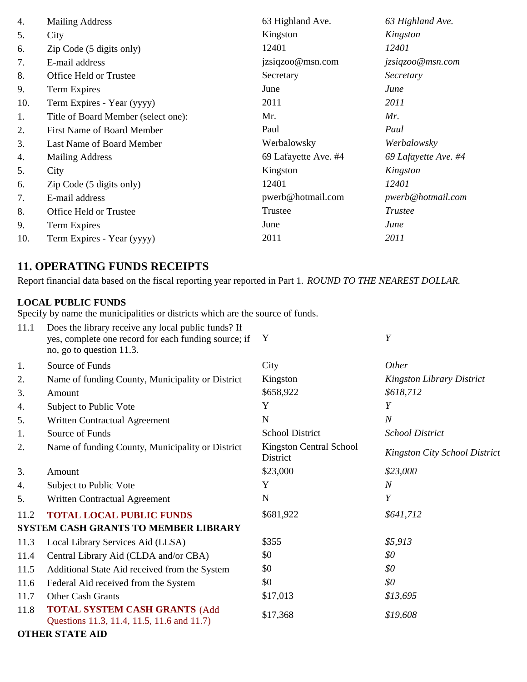| 4.  | <b>Mailing Address</b>              | 63 Highland Ave.     | 63 Highland Ave.     |
|-----|-------------------------------------|----------------------|----------------------|
| 5.  | City                                | Kingston             | Kingston             |
| 6.  | Zip Code (5 digits only)            | 12401                | 12401                |
| 7.  | E-mail address                      | jzsiqzoo@msn.com     | jzsiqzoo@msn.com     |
| 8.  | Office Held or Trustee              | Secretary            | Secretary            |
| 9.  | Term Expires                        | June                 | June                 |
| 10. | Term Expires - Year (yyyy)          | 2011                 | 2011                 |
| 1.  | Title of Board Member (select one): | Mr.                  | Mr.                  |
| 2.  | First Name of Board Member          | Paul                 | Paul                 |
| 3.  | Last Name of Board Member           | Werbalowsky          | Werbalowsky          |
| 4.  | <b>Mailing Address</b>              | 69 Lafayette Ave. #4 | 69 Lafayette Ave. #4 |
| 5.  | City                                | Kingston             | Kingston             |
| 6.  | Zip Code (5 digits only)            | 12401                | 12401                |
| 7.  | E-mail address                      | pwerb@hotmail.com    | pwerb@hotmail.com    |
| 8.  | Office Held or Trustee              | Trustee              | <b>Trustee</b>       |
| 9.  | Term Expires                        | June                 | June                 |
| 10. | Term Expires - Year (yyyy)          | 2011                 | 2011                 |

## **11. OPERATING FUNDS RECEIPTS**

Report financial data based on the fiscal reporting year reported in Part 1. *ROUND TO THE NEAREST DOLLAR.*

### **LOCAL PUBLIC FUNDS**

Specify by name the municipalities or districts which are the source of funds.

| 11.1 | Does the library receive any local public funds? If<br>yes, complete one record for each funding source; if<br>no, go to question 11.3. | Y                                   | Y                                    |
|------|-----------------------------------------------------------------------------------------------------------------------------------------|-------------------------------------|--------------------------------------|
| 1.   | Source of Funds                                                                                                                         | City                                | Other                                |
| 2.   | Name of funding County, Municipality or District                                                                                        | Kingston                            | <b>Kingston Library District</b>     |
| 3.   | Amount                                                                                                                                  | \$658,922                           | \$618,712                            |
| 4.   | Subject to Public Vote                                                                                                                  | Y                                   | Y                                    |
| 5.   | Written Contractual Agreement                                                                                                           | N                                   | $\overline{N}$                       |
| 1.   | Source of Funds                                                                                                                         | <b>School District</b>              | <b>School District</b>               |
| 2.   | Name of funding County, Municipality or District                                                                                        | Kingston Central School<br>District | <b>Kingston City School District</b> |
| 3.   | Amount                                                                                                                                  | \$23,000                            | \$23,000                             |
| 4.   | Subject to Public Vote                                                                                                                  | Y                                   | $\boldsymbol{N}$                     |
| 5.   | Written Contractual Agreement                                                                                                           | N                                   | Y                                    |
| 11.2 | <b>TOTAL LOCAL PUBLIC FUNDS</b>                                                                                                         | \$681,922                           | \$641,712                            |
|      | <b>SYSTEM CASH GRANTS TO MEMBER LIBRARY</b>                                                                                             |                                     |                                      |
| 11.3 | Local Library Services Aid (LLSA)                                                                                                       | \$355                               | \$5,913                              |
| 11.4 | Central Library Aid (CLDA and/or CBA)                                                                                                   | \$0                                 | \$0                                  |
| 11.5 | Additional State Aid received from the System                                                                                           | \$0                                 | \$0                                  |
| 11.6 | Federal Aid received from the System                                                                                                    | \$0                                 | \$0                                  |
| 11.7 | Other Cash Grants                                                                                                                       | \$17,013                            | \$13,695                             |
| 11.8 | <b>TOTAL SYSTEM CASH GRANTS (Add</b><br>Questions 11.3, 11.4, 11.5, 11.6 and 11.7)                                                      | \$17,368                            | \$19,608                             |
|      | <b>OTHER STATE AID</b>                                                                                                                  |                                     |                                      |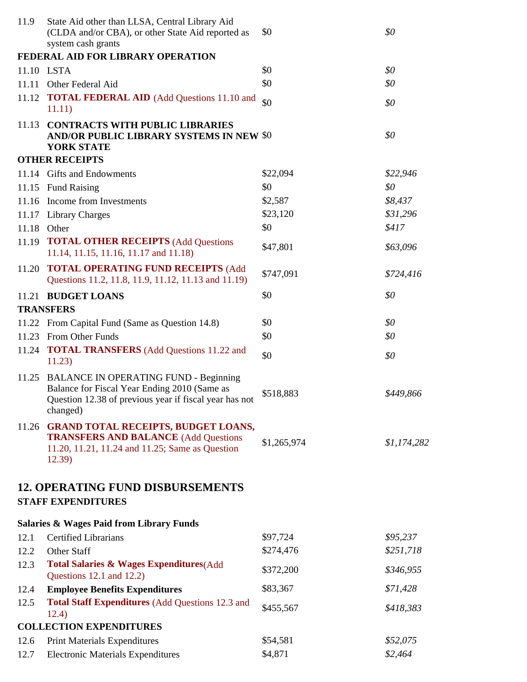| 11.9  | State Aid other than LLSA, Central Library Aid<br>(CLDA and/or CBA), or other State Aid reported as<br>system cash grants                                         | \$0         | \$0         |
|-------|-------------------------------------------------------------------------------------------------------------------------------------------------------------------|-------------|-------------|
|       | FEDERAL AID FOR LIBRARY OPERATION                                                                                                                                 |             |             |
|       | 11.10 LSTA                                                                                                                                                        | \$0         | \$0         |
| 11.11 | Other Federal Aid                                                                                                                                                 | \$0         | \$0         |
|       | 11.12 TOTAL FEDERAL AID (Add Questions 11.10 and<br>11.11)                                                                                                        | \$0         | \$0         |
| 11.13 | <b>CONTRACTS WITH PUBLIC LIBRARIES</b><br><b>AND/OR PUBLIC LIBRARY SYSTEMS IN NEW \$0</b><br><b>YORK STATE</b>                                                    |             | \$0         |
|       | <b>OTHER RECEIPTS</b>                                                                                                                                             |             |             |
|       | 11.14 Gifts and Endowments                                                                                                                                        | \$22,094    | \$22,946    |
|       | 11.15 Fund Raising                                                                                                                                                | \$0         | \$0         |
|       | 11.16 Income from Investments                                                                                                                                     | \$2,587     | \$8,437     |
|       | 11.17 Library Charges                                                                                                                                             | \$23,120    | \$31,296    |
|       | 11.18 Other                                                                                                                                                       | \$0         | \$417       |
|       | 11.19 <b>TOTAL OTHER RECEIPTS</b> (Add Questions<br>11.14, 11.15, 11.16, 11.17 and 11.18)                                                                         | \$47,801    | \$63,096    |
|       | 11.20 TOTAL OPERATING FUND RECEIPTS (Add<br>Questions 11.2, 11.8, 11.9, 11.12, 11.13 and 11.19)                                                                   | \$747,091   | \$724,416   |
|       | 11.21 BUDGET LOANS                                                                                                                                                | \$0         | \$0         |
|       | <b>TRANSFERS</b>                                                                                                                                                  |             |             |
|       | 11.22 From Capital Fund (Same as Question 14.8)                                                                                                                   | \$0         | \$0         |
|       | 11.23 From Other Funds                                                                                                                                            | \$0         | \$0         |
|       | 11.24 <b>TOTAL TRANSFERS</b> (Add Questions 11.22 and<br>11.23)                                                                                                   | \$0         | \$0         |
|       | 11.25 BALANCE IN OPERATING FUND - Beginning<br>Balance for Fiscal Year Ending 2010 (Same as<br>Question 12.38 of previous year if fiscal year has not<br>changed) | \$518,883   | \$449,866   |
| 11.26 | <b>GRAND TOTAL RECEIPTS, BUDGET LOANS,</b><br><b>TRANSFERS AND BALANCE (Add Questions</b><br>11.20, 11.21, 11.24 and 11.25; Same as Question<br>12.39             | \$1,265,974 | \$1,174,282 |
|       | <b>12. OPERATING FUND DISBURSEMENTS</b><br><b>STAFF EXPENDITURES</b>                                                                                              |             |             |
|       | <b>Salaries &amp; Wages Paid from Library Funds</b>                                                                                                               |             |             |
| 12.1  | <b>Certified Librarians</b>                                                                                                                                       | \$97,724    | \$95,237    |
| 12.2  | Other Staff                                                                                                                                                       | \$274,476   | \$251,718   |
| 12.3  | <b>Total Salaries &amp; Wages Expenditures</b> (Add<br>Questions 12.1 and 12.2)                                                                                   | \$372,200   | \$346,955   |
| 12.4  | <b>Employee Benefits Expenditures</b>                                                                                                                             | \$83,367    | \$71,428    |
| 12.5  | <b>Total Staff Expenditures (Add Questions 12.3 and</b><br>12.4)                                                                                                  | \$455,567   | \$418,383   |
|       | <b>COLLECTION EXPENDITURES</b>                                                                                                                                    |             |             |
| 12.6  | <b>Print Materials Expenditures</b>                                                                                                                               | \$54,581    | \$52,075    |
| 12.7  | <b>Electronic Materials Expenditures</b>                                                                                                                          | \$4,871     | \$2,464     |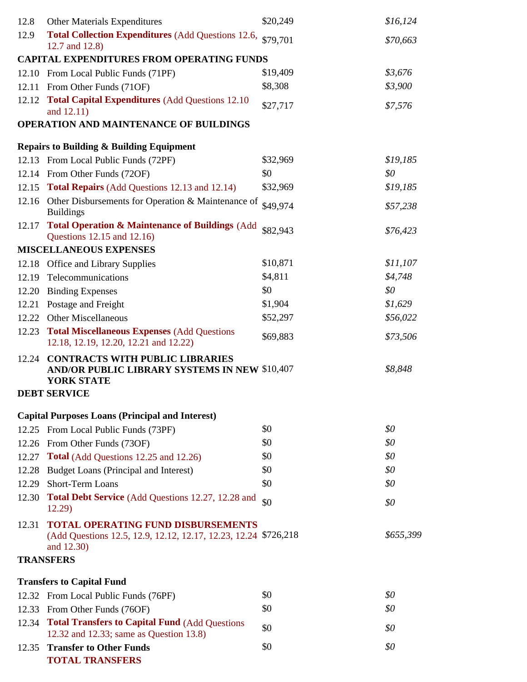| 12.8  | <b>Other Materials Expenditures</b>                                                                                        | \$20,249   | \$16,124   |
|-------|----------------------------------------------------------------------------------------------------------------------------|------------|------------|
| 12.9  | Total Collection Expenditures (Add Questions 12.6, \$79,701                                                                |            | \$70,663   |
|       | 12.7 and 12.8)                                                                                                             |            |            |
|       | <b>CAPITAL EXPENDITURES FROM OPERATING FUNDS</b>                                                                           |            |            |
|       | 12.10 From Local Public Funds (71PF)                                                                                       | \$19,409   | \$3,676    |
|       | 12.11 From Other Funds (71OF)                                                                                              | \$8,308    | \$3,900    |
| 12.12 | <b>Total Capital Expenditures (Add Questions 12.10)</b><br>and 12.11)                                                      | \$27,717   | \$7,576    |
|       | <b>OPERATION AND MAINTENANCE OF BUILDINGS</b>                                                                              |            |            |
|       | <b>Repairs to Building &amp; Building Equipment</b>                                                                        |            |            |
|       | 12.13 From Local Public Funds (72PF)                                                                                       | \$32,969   | \$19,185   |
|       | 12.14 From Other Funds (72OF)                                                                                              | \$0        | \$0        |
|       | 12.15 Total Repairs (Add Questions 12.13 and 12.14)                                                                        | \$32,969   | \$19,185   |
|       | 12.16 Other Disbursements for Operation & Maintenance of<br><b>Buildings</b>                                               | \$49,974   | \$57,238   |
| 12.17 | Total Operation & Maintenance of Buildings (Add<br>Questions 12.15 and 12.16)                                              | \$82,943   | \$76,423   |
|       | <b>MISCELLANEOUS EXPENSES</b>                                                                                              |            |            |
|       | 12.18 Office and Library Supplies                                                                                          | \$10,871   | \$11,107   |
|       | 12.19 Telecommunications                                                                                                   | \$4,811    | \$4,748    |
|       | 12.20 Binding Expenses                                                                                                     | \$0        | \$0        |
|       | 12.21 Postage and Freight                                                                                                  | \$1,904    | \$1,629    |
|       | 12.22 Other Miscellaneous                                                                                                  | \$52,297   | \$56,022   |
|       | 12.23 Total Miscellaneous Expenses (Add Questions<br>12.18, 12.19, 12.20, 12.21 and 12.22)                                 | \$69,883   | \$73,506   |
| 12.24 | <b>CONTRACTS WITH PUBLIC LIBRARIES</b><br><b>AND/OR PUBLIC LIBRARY SYSTEMS IN NEW \$10,407</b><br><b>YORK STATE</b>        |            | \$8,848    |
|       | <b>DEBT SERVICE</b>                                                                                                        |            |            |
|       |                                                                                                                            |            |            |
|       | <b>Capital Purposes Loans (Principal and Interest)</b>                                                                     |            |            |
|       | 12.25 From Local Public Funds (73PF)                                                                                       | \$0        | \$0        |
|       | 12.26 From Other Funds (73OF)                                                                                              | \$0<br>\$0 | \$0<br>\$0 |
|       | 12.27 Total (Add Questions 12.25 and 12.26)                                                                                | \$0        | \$0        |
|       | 12.28 Budget Loans (Principal and Interest)<br>Short-Term Loans                                                            | \$0        | \$0        |
| 12.29 |                                                                                                                            |            |            |
| 12.30 | Total Debt Service (Add Questions 12.27, 12.28 and<br>12.29)                                                               | \$0        | \$0        |
| 12.31 | <b>TOTAL OPERATING FUND DISBURSEMENTS</b><br>(Add Questions 12.5, 12.9, 12.12, 12.17, 12.23, 12.24 \$726,218<br>and 12.30) |            | \$655,399  |
|       | <b>TRANSFERS</b>                                                                                                           |            |            |
|       | <b>Transfers to Capital Fund</b>                                                                                           |            |            |
|       | 12.32 From Local Public Funds (76PF)                                                                                       | \$0        | \$0        |
|       | 12.33 From Other Funds (76OF)                                                                                              | \$0        | \$0        |
|       | 12.34 Total Transfers to Capital Fund (Add Questions<br>12.32 and 12.33; same as Question 13.8)                            | \$0        | \$0        |
|       | 12.35 Transfer to Other Funds                                                                                              | \$0        | \$0        |
|       | <b>TOTAL TRANSFERS</b>                                                                                                     |            |            |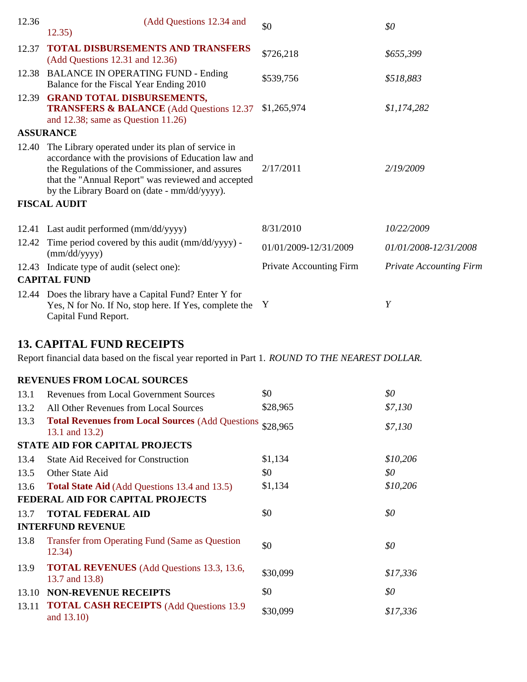| 12.36 | (Add Questions 12.34 and<br>12.35)                                                                                                                                                                                                                                                        | \$0                     | \$0                            |
|-------|-------------------------------------------------------------------------------------------------------------------------------------------------------------------------------------------------------------------------------------------------------------------------------------------|-------------------------|--------------------------------|
| 12.37 | <b>TOTAL DISBURSEMENTS AND TRANSFERS</b><br>(Add Questions 12.31 and 12.36)                                                                                                                                                                                                               | \$726,218               | \$655,399                      |
|       | 12.38 BALANCE IN OPERATING FUND - Ending<br>Balance for the Fiscal Year Ending 2010                                                                                                                                                                                                       | \$539,756               | \$518,883                      |
| 12.39 | <b>GRAND TOTAL DISBURSEMENTS,</b><br><b>TRANSFERS &amp; BALANCE</b> (Add Questions 12.37)<br>and 12.38; same as Question $11.26$ )                                                                                                                                                        | \$1,265,974             | \$1,174,282                    |
|       | <b>ASSURANCE</b>                                                                                                                                                                                                                                                                          |                         |                                |
| 12.40 | The Library operated under its plan of service in<br>accordance with the provisions of Education law and<br>the Regulations of the Commissioner, and assures<br>that the "Annual Report" was reviewed and accepted<br>by the Library Board on (date - mm/dd/yyyy).<br><b>FISCAL AUDIT</b> | 2/17/2011               | 2/19/2009                      |
|       |                                                                                                                                                                                                                                                                                           |                         |                                |
|       | 12.41 Last audit performed (mm/dd/yyyy)                                                                                                                                                                                                                                                   | 8/31/2010               | 10/22/2009                     |
| 12.42 | Time period covered by this audit (mm/dd/yyyy) -<br>(mm/dd/yyyy)                                                                                                                                                                                                                          | 01/01/2009-12/31/2009   | 01/01/2008-12/31/2008          |
|       | 12.43 Indicate type of audit (select one):                                                                                                                                                                                                                                                | Private Accounting Firm | <b>Private Accounting Firm</b> |
|       | <b>CAPITAL FUND</b>                                                                                                                                                                                                                                                                       |                         |                                |
|       | 12.44 Does the library have a Capital Fund? Enter Y for<br>Yes, N for No. If No, stop here. If Yes, complete the<br>Capital Fund Report.                                                                                                                                                  | Y                       | Y                              |
|       | <b>13. CAPITAL FUND RECEIPTS</b>                                                                                                                                                                                                                                                          |                         |                                |

Report financial data based on the fiscal year reported in Part 1. *ROUND TO THE NEAREST DOLLAR.*

### **REVENUES FROM LOCAL SOURCES**

| 13.1  | <b>Revenues from Local Government Sources</b>                                | \$0      | \$0      |
|-------|------------------------------------------------------------------------------|----------|----------|
| 13.2  | All Other Revenues from Local Sources                                        | \$28,965 | \$7,130  |
| 13.3  | Total Revenues from Local Sources (Add Questions \$28,965)<br>13.1 and 13.2) |          | \$7,130  |
|       | <b>STATE AID FOR CAPITAL PROJECTS</b>                                        |          |          |
| 13.4  | <b>State Aid Received for Construction</b>                                   | \$1,134  | \$10,206 |
| 13.5  | Other State Aid                                                              | \$0      | \$0      |
| 13.6  | <b>Total State Aid</b> (Add Questions 13.4 and 13.5)                         | \$1,134  | \$10,206 |
|       | <b>FEDERAL AID FOR CAPITAL PROJECTS</b>                                      |          |          |
| 13.7  | <b>TOTAL FEDERAL AID</b>                                                     | \$0      | \$0\$    |
|       | <b>INTERFUND REVENUE</b>                                                     |          |          |
| 13.8  | <b>Transfer from Operating Fund (Same as Question</b> )<br>12.34)            | \$0      | \$0      |
| 13.9  | <b>TOTAL REVENUES</b> (Add Questions 13.3, 13.6,<br>13.7 and 13.8)           | \$30,099 | \$17,336 |
| 13.10 | <b>NON-REVENUE RECEIPTS</b>                                                  | \$0      | \$0      |
| 13.11 | <b>TOTAL CASH RECEIPTS (Add Questions 13.9)</b><br>and 13.10)                | \$30,099 | \$17,336 |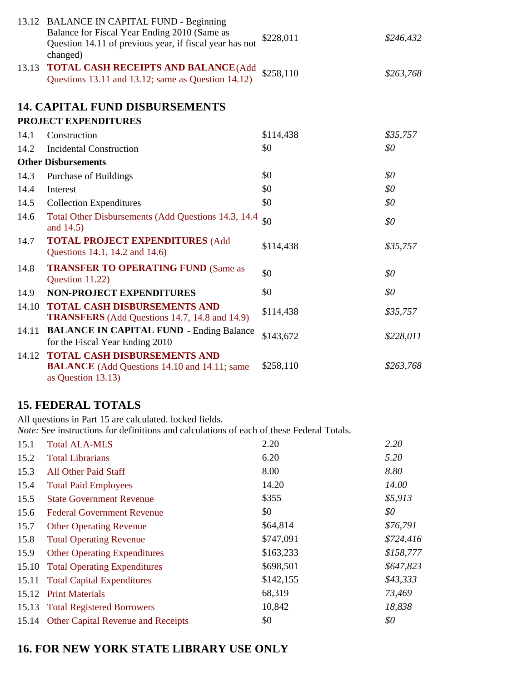|       | 13.12 BALANCE IN CAPITAL FUND - Beginning<br>Balance for Fiscal Year Ending 2010 (Same as<br>Question 14.11 of previous year, if fiscal year has not<br>changed) | \$228,011 | \$246,432 |
|-------|------------------------------------------------------------------------------------------------------------------------------------------------------------------|-----------|-----------|
| 13.13 | TOTAL CASH RECEIPTS AND BALANCE (Add<br>Questions 13.11 and 13.12; same as Question 14.12)                                                                       | \$258,110 | \$263,768 |
|       | <b>14. CAPITAL FUND DISBURSEMENTS</b>                                                                                                                            |           |           |
|       | PROJECT EXPENDITURES                                                                                                                                             |           |           |
| 14.1  | Construction                                                                                                                                                     | \$114,438 | \$35,757  |
| 14.2  | <b>Incidental Construction</b>                                                                                                                                   | \$0       | \$0       |
|       | <b>Other Disbursements</b>                                                                                                                                       |           |           |
| 14.3  | <b>Purchase of Buildings</b>                                                                                                                                     | \$0       | \$0       |
| 14.4  | Interest                                                                                                                                                         | \$0       | \$0       |
| 14.5  | <b>Collection Expenditures</b>                                                                                                                                   | \$0       | \$0       |
| 14.6  | Total Other Disbursements (Add Questions 14.3, 14.4)<br>and 14.5)                                                                                                | \$0       | \$0       |
| 14.7  | <b>TOTAL PROJECT EXPENDITURES (Add</b><br>Questions 14.1, 14.2 and 14.6)                                                                                         | \$114,438 | \$35,757  |
| 14.8  | <b>TRANSFER TO OPERATING FUND (Same as</b><br>Question 11.22)                                                                                                    | \$0       | \$0       |
| 14.9  | <b>NON-PROJECT EXPENDITURES</b>                                                                                                                                  | \$0       | \$0       |
| 14.10 | <b>TOTAL CASH DISBURSEMENTS AND</b><br><b>TRANSFERS</b> (Add Questions 14.7, 14.8 and 14.9)                                                                      | \$114,438 | \$35,757  |
| 14.11 | <b>BALANCE IN CAPITAL FUND - Ending Balance</b><br>for the Fiscal Year Ending 2010                                                                               | \$143,672 | \$228,011 |
| 14.12 | <b>TOTAL CASH DISBURSEMENTS AND</b><br><b>BALANCE</b> (Add Questions 14.10 and 14.11; same<br>as Question 13.13)                                                 | \$258,110 | \$263,768 |

# **15. FEDERAL TOTALS**

All questions in Part 15 are calculated. locked fields.

*Note:* See instructions for definitions and calculations of each of these Federal Totals.

| 15.1  | <b>Total ALA-MLS</b>                     | 2.20      | 2.20      |
|-------|------------------------------------------|-----------|-----------|
| 15.2  | <b>Total Librarians</b>                  | 6.20      | 5.20      |
| 15.3  | <b>All Other Paid Staff</b>              | 8.00      | 8.80      |
| 15.4  | <b>Total Paid Employees</b>              | 14.20     | 14.00     |
| 15.5  | <b>State Government Revenue</b>          | \$355     | \$5,913   |
| 15.6  | <b>Federal Government Revenue</b>        | \$0       | \$0       |
| 15.7  | <b>Other Operating Revenue</b>           | \$64,814  | \$76,791  |
| 15.8  | <b>Total Operating Revenue</b>           | \$747,091 | \$724,416 |
| 15.9  | <b>Other Operating Expenditures</b>      | \$163,233 | \$158,777 |
| 15.10 | <b>Total Operating Expenditures</b>      | \$698,501 | \$647,823 |
|       | 15.11 Total Capital Expenditures         | \$142,155 | \$43,333  |
| 15.12 | <b>Print Materials</b>                   | 68,319    | 73,469    |
|       | 15.13 Total Registered Borrowers         | 10,842    | 18,838    |
|       | 15.14 Other Capital Revenue and Receipts | \$0       | \$0       |

# **16. FOR NEW YORK STATE LIBRARY USE ONLY**